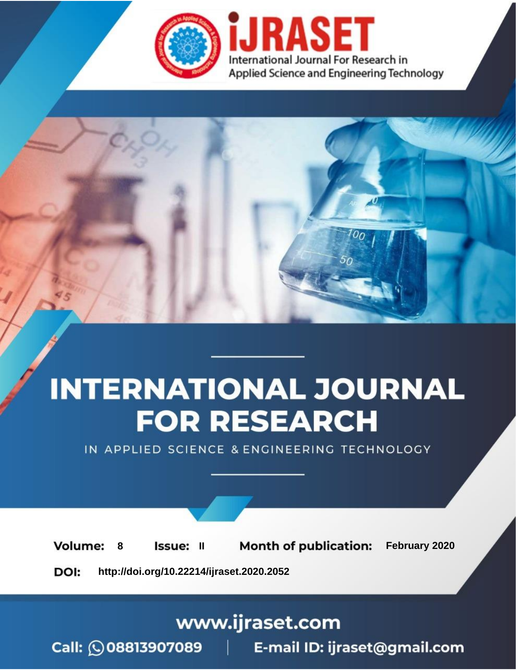



IN APPLIED SCIENCE & ENGINEERING TECHNOLOGY

**8 ISSUE: II Month of publication:** February 2020 **Volume: http://doi.org/10.22214/ijraset.2020.2052**DOI:

www.ijraset.com

Call: **Q08813907089** E-mail ID: ijraset@gmail.com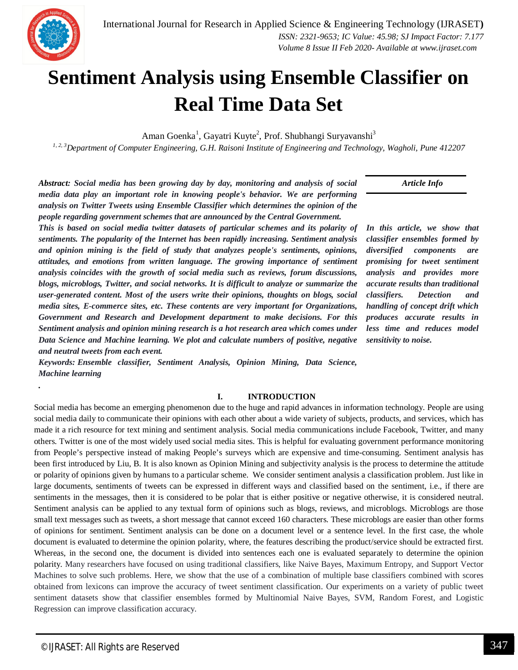*Volume 8 Issue II Feb 2020- Available at www.ijraset.com*



*.*

# **Sentiment Analysis using Ensemble Classifier on Real Time Data Set**

Aman Goenka<sup>1</sup>, Gayatri Kuyte<sup>2</sup>, Prof. Shubhangi Suryavanshi<sup>3</sup>

*1, 2, 3Department of Computer Engineering, G.H. Raisoni Institute of Engineering and Technology, Wagholi, Pune 412207*

*Abstract: Social media has been growing day by day, monitoring and analysis of social media data play an important role in knowing people's behavior. We are performing analysis on Twitter Tweets using Ensemble Classifier which determines the opinion of the people regarding government schemes that are announced by the Central Government.*

*This is based on social media twitter datasets of particular schemes and its polarity of sentiments. The popularity of the Internet has been rapidly increasing. Sentiment analysis and opinion mining is the field of study that analyzes people's sentiments, opinions, attitudes, and emotions from written language. The growing importance of sentiment analysis coincides with the growth of social media such as reviews, forum discussions, blogs, microblogs, Twitter, and social networks. It is difficult to analyze or summarize the user-generated content. Most of the users write their opinions, thoughts on blogs, social media sites, E-commerce sites, etc. These contents are very important for Organizations, Government and Research and Development department to make decisions. For this Sentiment analysis and opinion mining research is a hot research area which comes under Data Science and Machine learning. We plot and calculate numbers of positive, negative and neutral tweets from each event.*

*Keywords: Ensemble classifier, Sentiment Analysis, Opinion Mining, Data Science, Machine learning*

#### **I. INTRODUCTION**

Social media has become an emerging phenomenon due to the huge and rapid advances in information technology. People are using social media daily to communicate their opinions with each other about a wide variety of subjects, products, and services, which has made it a rich resource for text mining and sentiment analysis. Social media communications include Facebook, Twitter, and many others. Twitter is one of the most widely used social media sites. This is helpful for evaluating government performance monitoring from People's perspective instead of making People's surveys which are expensive and time-consuming. Sentiment analysis has been first introduced by Liu, B. It is also known as Opinion Mining and subjectivity analysis is the process to determine the attitude or polarity of opinions given by humans to a particular scheme. We consider sentiment analysis a classification problem. Just like in large documents, sentiments of tweets can be expressed in different ways and classified based on the sentiment, i.e., if there are sentiments in the messages, then it is considered to be polar that is either positive or negative otherwise, it is considered neutral. Sentiment analysis can be applied to any textual form of opinions such as blogs, reviews, and microblogs. Microblogs are those small text messages such as tweets, a short message that cannot exceed 160 characters. These microblogs are easier than other forms of opinions for sentiment. Sentiment analysis can be done on a document level or a sentence level. In the first case, the whole document is evaluated to determine the opinion polarity, where, the features describing the product/service should be extracted first. Whereas, in the second one, the document is divided into sentences each one is evaluated separately to determine the opinion polarity. Many researchers have focused on using traditional classifiers, like Naive Bayes, Maximum Entropy, and Support Vector Machines to solve such problems. Here, we show that the use of a combination of multiple base classifiers combined with scores obtained from lexicons can improve the accuracy of tweet sentiment classification. Our experiments on a variety of public tweet sentiment datasets show that classifier ensembles formed by Multinomial Naive Bayes, SVM, Random Forest, and Logistic Regression can improve classification accuracy.

*In this article, we show that classifier ensembles formed by diversified components are promising for tweet sentiment analysis and provides more accurate results than traditional classifiers. Detection and handling of concept drift which produces accurate results in less time and reduces model sensitivity to noise.*

*Article Info*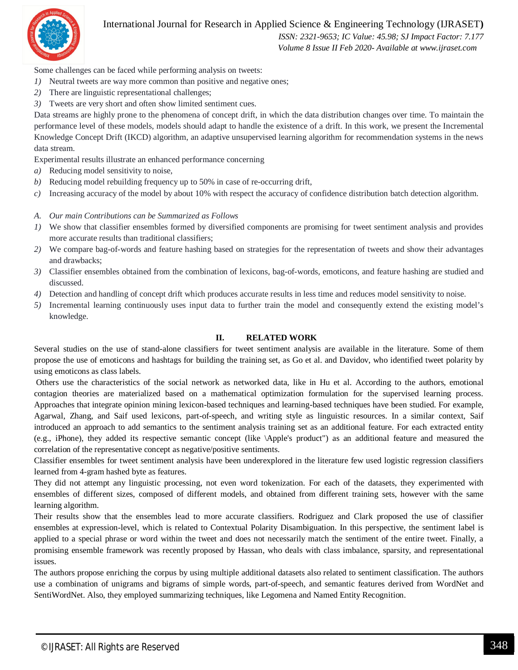

# International Journal for Research in Applied Science & Engineering Technology (IJRASET**)**

 *ISSN: 2321-9653; IC Value: 45.98; SJ Impact Factor: 7.177 Volume 8 Issue II Feb 2020- Available at www.ijraset.com*

Some challenges can be faced while performing analysis on tweets:

- *1*) Neutral tweets are way more common than positive and negative ones;
- *2)* There are linguistic representational challenges;
- *3)* Tweets are very short and often show limited sentiment cues.

Data streams are highly prone to the phenomena of concept drift, in which the data distribution changes over time. To maintain the performance level of these models, models should adapt to handle the existence of a drift. In this work, we present the Incremental Knowledge Concept Drift (IKCD) algorithm, an adaptive unsupervised learning algorithm for recommendation systems in the news data stream.

Experimental results illustrate an enhanced performance concerning

- *a)* Reducing model sensitivity to noise,
- *b)* Reducing model rebuilding frequency up to 50% in case of re-occurring drift,
- *c)* Increasing accuracy of the model by about 10% with respect the accuracy of confidence distribution batch detection algorithm.
- *A. Our main Contributions can be Summarized as Follows*
- *1)* We show that classifier ensembles formed by diversified components are promising for tweet sentiment analysis and provides more accurate results than traditional classifiers;
- *2)* We compare bag-of-words and feature hashing based on strategies for the representation of tweets and show their advantages and drawbacks;
- *3)* Classifier ensembles obtained from the combination of lexicons, bag-of-words, emoticons, and feature hashing are studied and discussed.
- *4)* Detection and handling of concept drift which produces accurate results in less time and reduces model sensitivity to noise.
- *5)* Incremental learning continuously uses input data to further train the model and consequently extend the existing model's knowledge.

## **II. RELATED WORK**

Several studies on the use of stand-alone classifiers for tweet sentiment analysis are available in the literature. Some of them propose the use of emoticons and hashtags for building the training set, as Go et al. and Davidov, who identified tweet polarity by using emoticons as class labels.

Others use the characteristics of the social network as networked data, like in Hu et al. According to the authors, emotional contagion theories are materialized based on a mathematical optimization formulation for the supervised learning process. Approaches that integrate opinion mining lexicon-based techniques and learning-based techniques have been studied. For example, Agarwal, Zhang, and Saif used lexicons, part-of-speech, and writing style as linguistic resources. In a similar context, Saif introduced an approach to add semantics to the sentiment analysis training set as an additional feature. For each extracted entity (e.g., iPhone), they added its respective semantic concept (like \Apple's product") as an additional feature and measured the correlation of the representative concept as negative/positive sentiments.

Classifier ensembles for tweet sentiment analysis have been underexplored in the literature few used logistic regression classifiers learned from 4-gram hashed byte as features.

They did not attempt any linguistic processing, not even word tokenization. For each of the datasets, they experimented with ensembles of different sizes, composed of different models, and obtained from different training sets, however with the same learning algorithm.

Their results show that the ensembles lead to more accurate classifiers. Rodriguez and Clark proposed the use of classifier ensembles at expression-level, which is related to Contextual Polarity Disambiguation. In this perspective, the sentiment label is applied to a special phrase or word within the tweet and does not necessarily match the sentiment of the entire tweet. Finally, a promising ensemble framework was recently proposed by Hassan, who deals with class imbalance, sparsity, and representational issues.

The authors propose enriching the corpus by using multiple additional datasets also related to sentiment classification. The authors use a combination of unigrams and bigrams of simple words, part-of-speech, and semantic features derived from WordNet and SentiWordNet. Also, they employed summarizing techniques, like Legomena and Named Entity Recognition.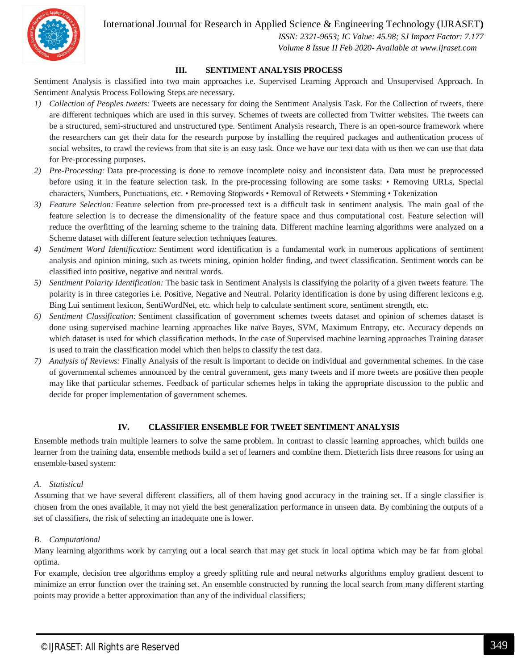International Journal for Research in Applied Science & Engineering Technology (IJRASET**)**



 *ISSN: 2321-9653; IC Value: 45.98; SJ Impact Factor: 7.177 Volume 8 Issue II Feb 2020- Available at www.ijraset.com*

# **III. SENTIMENT ANALYSIS PROCESS**

Sentiment Analysis is classified into two main approaches i.e. Supervised Learning Approach and Unsupervised Approach. In Sentiment Analysis Process Following Steps are necessary.

- *1) Collection of Peoples tweets:* Tweets are necessary for doing the Sentiment Analysis Task. For the Collection of tweets, there are different techniques which are used in this survey. Schemes of tweets are collected from Twitter websites. The tweets can be a structured, semi-structured and unstructured type. Sentiment Analysis research, There is an open-source framework where the researchers can get their data for the research purpose by installing the required packages and authentication process of social websites, to crawl the reviews from that site is an easy task. Once we have our text data with us then we can use that data for Pre-processing purposes.
- *2) Pre-Processing:* Data pre-processing is done to remove incomplete noisy and inconsistent data. Data must be preprocessed before using it in the feature selection task. In the pre-processing following are some tasks: • Removing URLs, Special characters, Numbers, Punctuations, etc. • Removing Stopwords • Removal of Retweets • Stemming • Tokenization
- *3) Feature Selection:* Feature selection from pre-processed text is a difficult task in sentiment analysis. The main goal of the feature selection is to decrease the dimensionality of the feature space and thus computational cost. Feature selection will reduce the overfitting of the learning scheme to the training data. Different machine learning algorithms were analyzed on a Scheme dataset with different feature selection techniques features.
- *4) Sentiment Word Identification:* Sentiment word identification is a fundamental work in numerous applications of sentiment analysis and opinion mining, such as tweets mining, opinion holder finding, and tweet classification. Sentiment words can be classified into positive, negative and neutral words.
- *5) Sentiment Polarity Identification:* The basic task in Sentiment Analysis is classifying the polarity of a given tweets feature. The polarity is in three categories i.e. Positive, Negative and Neutral. Polarity identification is done by using different lexicons e.g. Bing Lui sentiment lexicon, SentiWordNet, etc. which help to calculate sentiment score, sentiment strength, etc.
- *6) Sentiment Classification:* Sentiment classification of government schemes tweets dataset and opinion of schemes dataset is done using supervised machine learning approaches like naïve Bayes, SVM, Maximum Entropy, etc. Accuracy depends on which dataset is used for which classification methods. In the case of Supervised machine learning approaches Training dataset is used to train the classification model which then helps to classify the test data.
- *7) Analysis of Reviews:* Finally Analysis of the result is important to decide on individual and governmental schemes. In the case of governmental schemes announced by the central government, gets many tweets and if more tweets are positive then people may like that particular schemes. Feedback of particular schemes helps in taking the appropriate discussion to the public and decide for proper implementation of government schemes.

# **IV. CLASSIFIER ENSEMBLE FOR TWEET SENTIMENT ANALYSIS**

Ensemble methods train multiple learners to solve the same problem. In contrast to classic learning approaches, which builds one learner from the training data, ensemble methods build a set of learners and combine them. Dietterich lists three reasons for using an ensemble-based system:

# *A. Statistical*

Assuming that we have several different classifiers, all of them having good accuracy in the training set. If a single classifier is chosen from the ones available, it may not yield the best generalization performance in unseen data. By combining the outputs of a set of classifiers, the risk of selecting an inadequate one is lower.

# *B. Computational*

Many learning algorithms work by carrying out a local search that may get stuck in local optima which may be far from global optima.

For example, decision tree algorithms employ a greedy splitting rule and neural networks algorithms employ gradient descent to minimize an error function over the training set. An ensemble constructed by running the local search from many different starting points may provide a better approximation than any of the individual classifiers;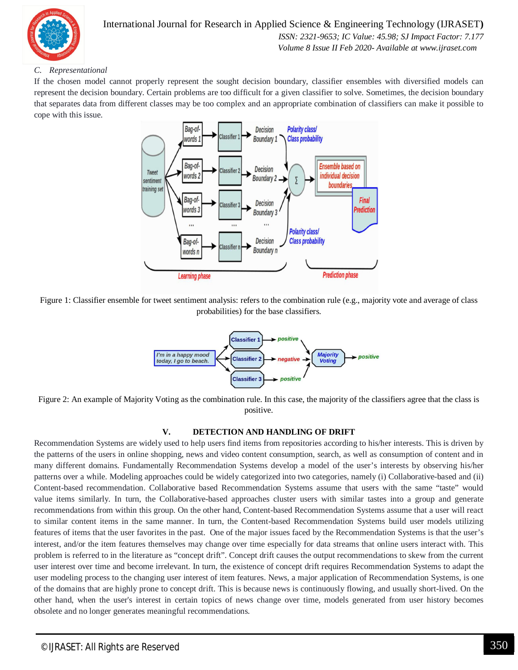

# International Journal for Research in Applied Science & Engineering Technology (IJRASET**)**  *ISSN: 2321-9653; IC Value: 45.98; SJ Impact Factor: 7.177 Volume 8 Issue II Feb 2020- Available at www.ijraset.com*

# *C. Representational*

If the chosen model cannot properly represent the sought decision boundary, classifier ensembles with diversified models can represent the decision boundary. Certain problems are too difficult for a given classifier to solve. Sometimes, the decision boundary that separates data from different classes may be too complex and an appropriate combination of classifiers can make it possible to cope with this issue.



Figure 1: Classifier ensemble for tweet sentiment analysis: refers to the combination rule (e.g., majority vote and average of class probabilities) for the base classifiers.



Figure 2: An example of Majority Voting as the combination rule. In this case, the majority of the classifiers agree that the class is positive.

# **V. DETECTION AND HANDLING OF DRIFT**

Recommendation Systems are widely used to help users find items from repositories according to his/her interests. This is driven by the patterns of the users in online shopping, news and video content consumption, search, as well as consumption of content and in many different domains. Fundamentally Recommendation Systems develop a model of the user's interests by observing his/her patterns over a while. Modeling approaches could be widely categorized into two categories, namely (i) Collaborative-based and (ii) Content-based recommendation. Collaborative based Recommendation Systems assume that users with the same "taste" would value items similarly. In turn, the Collaborative-based approaches cluster users with similar tastes into a group and generate recommendations from within this group. On the other hand, Content-based Recommendation Systems assume that a user will react to similar content items in the same manner. In turn, the Content-based Recommendation Systems build user models utilizing features of items that the user favorites in the past. One of the major issues faced by the Recommendation Systems is that the user's interest, and/or the item features themselves may change over time especially for data streams that online users interact with. This problem is referred to in the literature as "concept drift". Concept drift causes the output recommendations to skew from the current user interest over time and become irrelevant. In turn, the existence of concept drift requires Recommendation Systems to adapt the user modeling process to the changing user interest of item features. News, a major application of Recommendation Systems, is one of the domains that are highly prone to concept drift. This is because news is continuously flowing, and usually short-lived. On the other hand, when the user's interest in certain topics of news change over time, models generated from user history becomes obsolete and no longer generates meaningful recommendations.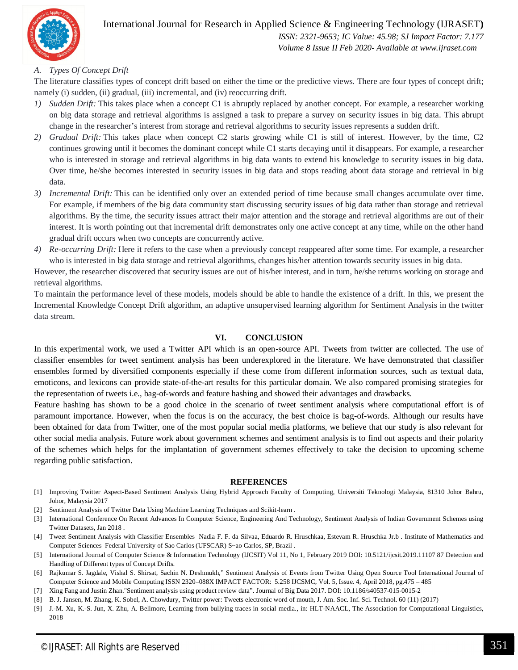

 *Volume 8 Issue II Feb 2020- Available at www.ijraset.com*

# *A. Types Of Concept Drift*

The literature classifies types of concept drift based on either the time or the predictive views. There are four types of concept drift; namely (i) sudden, (ii) gradual, (iii) incremental, and (iv) reoccurring drift.

- *1) Sudden Drift:* This takes place when a concept C1 is abruptly replaced by another concept. For example, a researcher working on big data storage and retrieval algorithms is assigned a task to prepare a survey on security issues in big data. This abrupt change in the researcher's interest from storage and retrieval algorithms to security issues represents a sudden drift.
- *2) Gradual Drift:* This takes place when concept C2 starts growing while C1 is still of interest. However, by the time, C2 continues growing until it becomes the dominant concept while C1 starts decaying until it disappears. For example, a researcher who is interested in storage and retrieval algorithms in big data wants to extend his knowledge to security issues in big data. Over time, he/she becomes interested in security issues in big data and stops reading about data storage and retrieval in big data.
- *3) Incremental Drift:* This can be identified only over an extended period of time because small changes accumulate over time. For example, if members of the big data community start discussing security issues of big data rather than storage and retrieval algorithms. By the time, the security issues attract their major attention and the storage and retrieval algorithms are out of their interest. It is worth pointing out that incremental drift demonstrates only one active concept at any time, while on the other hand gradual drift occurs when two concepts are concurrently active.
- *4) Re-occurring Drift:* Here it refers to the case when a previously concept reappeared after some time. For example, a researcher who is interested in big data storage and retrieval algorithms, changes his/her attention towards security issues in big data.

However, the researcher discovered that security issues are out of his/her interest, and in turn, he/she returns working on storage and retrieval algorithms.

To maintain the performance level of these models, models should be able to handle the existence of a drift. In this, we present the Incremental Knowledge Concept Drift algorithm, an adaptive unsupervised learning algorithm for Sentiment Analysis in the twitter data stream.

## **VI. CONCLUSION**

In this experimental work, we used a Twitter API which is an open-source API. Tweets from twitter are collected. The use of classifier ensembles for tweet sentiment analysis has been underexplored in the literature. We have demonstrated that classifier ensembles formed by diversified components especially if these come from different information sources, such as textual data, emoticons, and lexicons can provide state-of-the-art results for this particular domain. We also compared promising strategies for the representation of tweets i.e., bag-of-words and feature hashing and showed their advantages and drawbacks.

Feature hashing has shown to be a good choice in the scenario of tweet sentiment analysis where computational effort is of paramount importance. However, when the focus is on the accuracy, the best choice is bag-of-words. Although our results have been obtained for data from Twitter, one of the most popular social media platforms, we believe that our study is also relevant for other social media analysis. Future work about government schemes and sentiment analysis is to find out aspects and their polarity of the schemes which helps for the implantation of government schemes effectively to take the decision to upcoming scheme regarding public satisfaction.

#### **REFERENCES**

- [1] Improving Twitter Aspect-Based Sentiment Analysis Using Hybrid Approach Faculty of Computing, Universiti Teknologi Malaysia, 81310 Johor Bahru, Johor, Malaysia 2017
- [2] Sentiment Analysis of Twitter Data Using Machine Learning Techniques and Scikit-learn .
- [3] International Conference On Recent Advances In Computer Science, Engineering And Technology, Sentiment Analysis of Indian Government Schemes using Twitter Datasets, Jan 2018 .
- [4] Tweet Sentiment Analysis with Classifier Ensembles Nadia F. F. da Silvaa, Eduardo R. Hruschkaa, Estevam R. Hruschka Jr.b . Institute of Mathematics and Computer Sciences Federal University of Sao Carlos (UFSCAR) S~ao Carlos, SP, Brazil .
- [5] International Journal of Computer Science & Information Technology (IJCSIT) Vol 11, No 1, February 2019 DOI: 10.5121/ijcsit.2019.11107 87 Detection and Handling of Different types of Concept Drifts.
- [6] Rajkumar S. Jagdale, Vishal S. Shirsat, Sachin N. Deshmukh," Sentiment Analysis of Events from Twitter Using Open Source Tool International Journal of Computer Science and Mobile Computing ISSN 2320–088X IMPACT FACTOR: 5.258 IJCSMC, Vol. 5, Issue. 4, April 2018, pg.475 – 485
- [7] Xing Fang and Justin Zhan."Sentiment analysis using product review data". Journal of Big Data 2017. DOI: 10.1186/s40537-015-0015-2
- [8] B. J. Jansen, M. Zhang, K. Sobel, A. Chowdury, Twitter power: Tweets electronic word of mouth, J. Am. Soc. Inf. Sci. Technol. 60 (11) (2017)
- [9] J.-M. Xu, K.-S. Jun, X. Zhu, A. Bellmore, Learning from bullying traces in social media., in: HLT-NAACL, The Association for Computational Linguistics, 2018